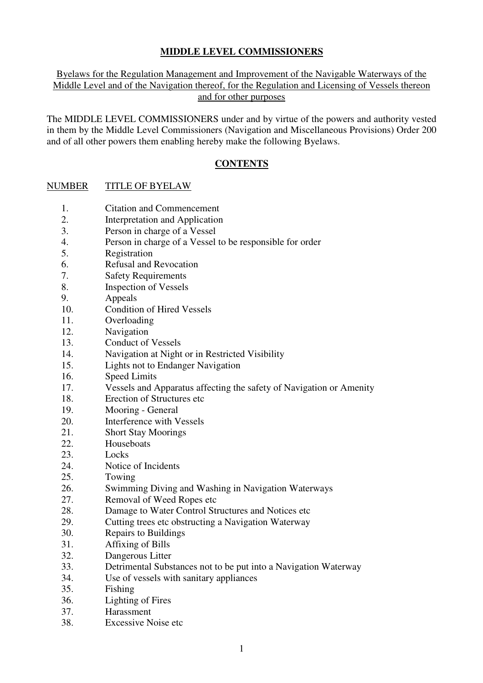# **MIDDLE LEVEL COMMISSIONERS**

# Byelaws for the Regulation Management and Improvement of the Navigable Waterways of the Middle Level and of the Navigation thereof, for the Regulation and Licensing of Vessels thereon and for other purposes

The MIDDLE LEVEL COMMISSIONERS under and by virtue of the powers and authority vested in them by the Middle Level Commissioners (Navigation and Miscellaneous Provisions) Order 200 and of all other powers them enabling hereby make the following Byelaws.

# **CONTENTS**

# NUMBER TITLE OF BYELAW

- 1. Citation and Commencement
- 2. Interpretation and Application
- 3. Person in charge of a Vessel
- 4. Person in charge of a Vessel to be responsible for order
- 5. Registration
- 6. Refusal and Revocation
- 7. Safety Requirements
- 8. Inspection of Vessels
- 9. Appeals
- 10. Condition of Hired Vessels
- 11. Overloading
- 12. Navigation
- 13. Conduct of Vessels
- 14. Navigation at Night or in Restricted Visibility
- 15. Lights not to Endanger Navigation
- 16. Speed Limits
- 17. Vessels and Apparatus affecting the safety of Navigation or Amenity
- 18. Erection of Structures etc
- 19. Mooring General
- 20. Interference with Vessels
- 21. Short Stay Moorings
- 22. Houseboats
- 23. Locks
- 24. Notice of Incidents
- 25. Towing
- 26. Swimming Diving and Washing in Navigation Waterways
- 27. Removal of Weed Ropes etc
- 28. Damage to Water Control Structures and Notices etc
- 29. Cutting trees etc obstructing a Navigation Waterway
- 30. Repairs to Buildings
- 31. Affixing of Bills
- 32. Dangerous Litter
- 33. Detrimental Substances not to be put into a Navigation Waterway
- 34. Use of vessels with sanitary appliances
- 35. Fishing
- 36. Lighting of Fires
- 37. Harassment
- 38. Excessive Noise etc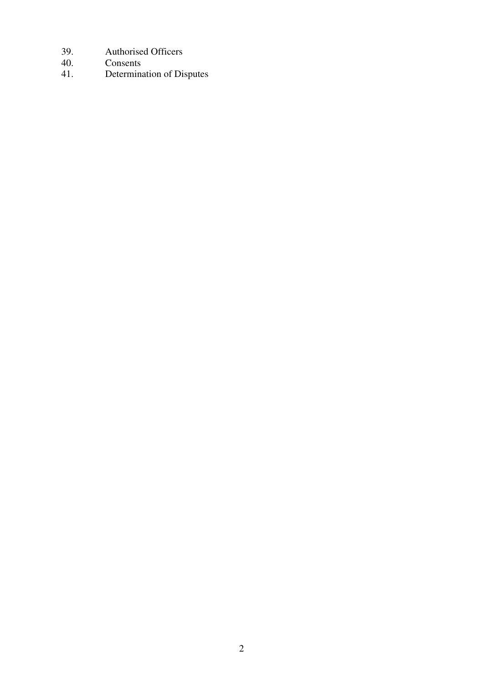- 39. Authorised Officers
- 40. Consents<br>41. Determina
- Determination of Disputes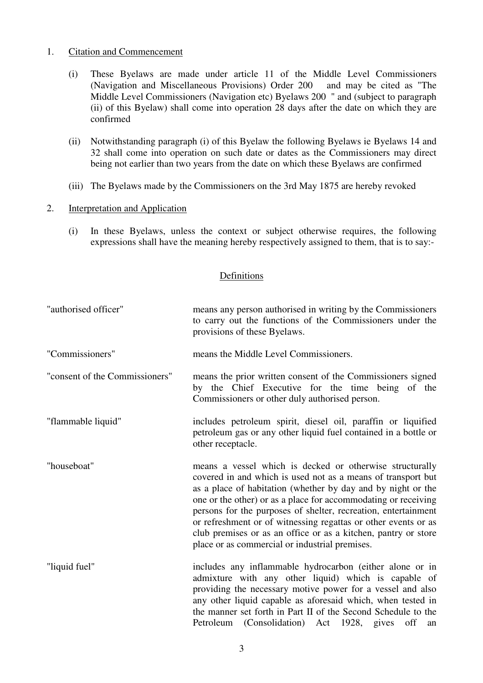## 1. Citation and Commencement

- (i) These Byelaws are made under article 11 of the Middle Level Commissioners (Navigation and Miscellaneous Provisions) Order 200 and may be cited as "The Middle Level Commissioners (Navigation etc) Byelaws 200 " and (subject to paragraph (ii) of this Byelaw) shall come into operation 28 days after the date on which they are confirmed
- (ii) Notwithstanding paragraph (i) of this Byelaw the following Byelaws ie Byelaws 14 and 32 shall come into operation on such date or dates as the Commissioners may direct being not earlier than two years from the date on which these Byelaws are confirmed
- (iii) The Byelaws made by the Commissioners on the 3rd May 1875 are hereby revoked

#### 2. Interpretation and Application

 (i) In these Byelaws, unless the context or subject otherwise requires, the following expressions shall have the meaning hereby respectively assigned to them, that is to say:-

## Definitions

| "authorised officer"           | means any person authorised in writing by the Commissioners<br>to carry out the functions of the Commissioners under the<br>provisions of these Byelaws.                                                                                                                                                                                                                                                                                                                                                           |
|--------------------------------|--------------------------------------------------------------------------------------------------------------------------------------------------------------------------------------------------------------------------------------------------------------------------------------------------------------------------------------------------------------------------------------------------------------------------------------------------------------------------------------------------------------------|
| "Commissioners"                | means the Middle Level Commissioners.                                                                                                                                                                                                                                                                                                                                                                                                                                                                              |
| "consent of the Commissioners" | means the prior written consent of the Commissioners signed<br>by the Chief Executive for the time being of the<br>Commissioners or other duly authorised person.                                                                                                                                                                                                                                                                                                                                                  |
| "flammable liquid"             | includes petroleum spirit, diesel oil, paraffin or liquified<br>petroleum gas or any other liquid fuel contained in a bottle or<br>other receptacle.                                                                                                                                                                                                                                                                                                                                                               |
| "houseboat"                    | means a vessel which is decked or otherwise structurally<br>covered in and which is used not as a means of transport but<br>as a place of habitation (whether by day and by night or the<br>one or the other) or as a place for accommodating or receiving<br>persons for the purposes of shelter, recreation, entertainment<br>or refreshment or of witnessing regattas or other events or as<br>club premises or as an office or as a kitchen, pantry or store<br>place or as commercial or industrial premises. |
| "liquid fuel"                  | includes any inflammable hydrocarbon (either alone or in<br>admixture with any other liquid) which is capable of<br>providing the necessary motive power for a vessel and also<br>any other liquid capable as aforesaid which, when tested in<br>the manner set forth in Part II of the Second Schedule to the<br>Petroleum (Consolidation) Act 1928, gives<br>off<br>an                                                                                                                                           |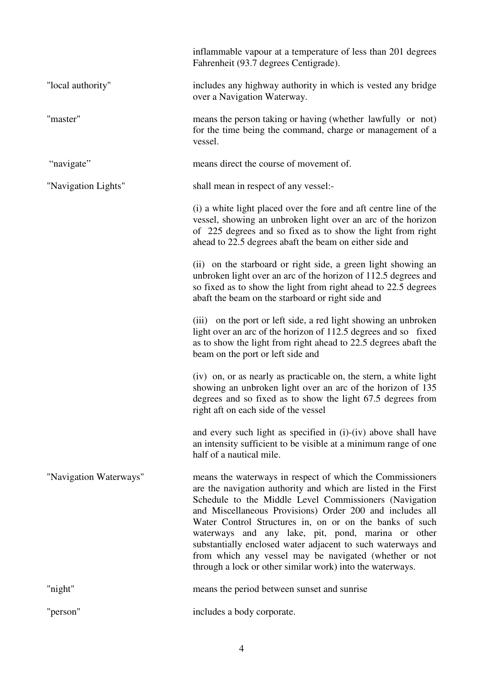|                        | inflammable vapour at a temperature of less than 201 degrees<br>Fahrenheit (93.7 degrees Centigrade).                                                                                                                                                                                                                                                                                                                                                                                                                                                    |
|------------------------|----------------------------------------------------------------------------------------------------------------------------------------------------------------------------------------------------------------------------------------------------------------------------------------------------------------------------------------------------------------------------------------------------------------------------------------------------------------------------------------------------------------------------------------------------------|
| "local authority"      | includes any highway authority in which is vested any bridge<br>over a Navigation Waterway.                                                                                                                                                                                                                                                                                                                                                                                                                                                              |
| "master"               | means the person taking or having (whether lawfully or not)<br>for the time being the command, charge or management of a<br>vessel.                                                                                                                                                                                                                                                                                                                                                                                                                      |
| "navigate"             | means direct the course of movement of.                                                                                                                                                                                                                                                                                                                                                                                                                                                                                                                  |
| "Navigation Lights"    | shall mean in respect of any vessel:-                                                                                                                                                                                                                                                                                                                                                                                                                                                                                                                    |
|                        | (i) a white light placed over the fore and aft centre line of the<br>vessel, showing an unbroken light over an arc of the horizon<br>of 225 degrees and so fixed as to show the light from right<br>ahead to 22.5 degrees abaft the beam on either side and                                                                                                                                                                                                                                                                                              |
|                        | (ii) on the starboard or right side, a green light showing an<br>unbroken light over an arc of the horizon of 112.5 degrees and<br>so fixed as to show the light from right ahead to 22.5 degrees<br>abaft the beam on the starboard or right side and                                                                                                                                                                                                                                                                                                   |
|                        | (iii) on the port or left side, a red light showing an unbroken<br>light over an arc of the horizon of 112.5 degrees and so fixed<br>as to show the light from right ahead to 22.5 degrees abaft the<br>beam on the port or left side and                                                                                                                                                                                                                                                                                                                |
|                        | (iv) on, or as nearly as practicable on, the stern, a white light<br>showing an unbroken light over an arc of the horizon of 135<br>degrees and so fixed as to show the light 67.5 degrees from<br>right aft on each side of the vessel                                                                                                                                                                                                                                                                                                                  |
|                        | and every such light as specified in (i)-(iv) above shall have<br>an intensity sufficient to be visible at a minimum range of one<br>half of a nautical mile.                                                                                                                                                                                                                                                                                                                                                                                            |
| "Navigation Waterways" | means the waterways in respect of which the Commissioners<br>are the navigation authority and which are listed in the First<br>Schedule to the Middle Level Commissioners (Navigation<br>and Miscellaneous Provisions) Order 200 and includes all<br>Water Control Structures in, on or on the banks of such<br>waterways and any lake, pit, pond, marina or other<br>substantially enclosed water adjacent to such waterways and<br>from which any vessel may be navigated (whether or not<br>through a lock or other similar work) into the waterways. |
| "night"                | means the period between sunset and sunrise                                                                                                                                                                                                                                                                                                                                                                                                                                                                                                              |
| "person"               | includes a body corporate.                                                                                                                                                                                                                                                                                                                                                                                                                                                                                                                               |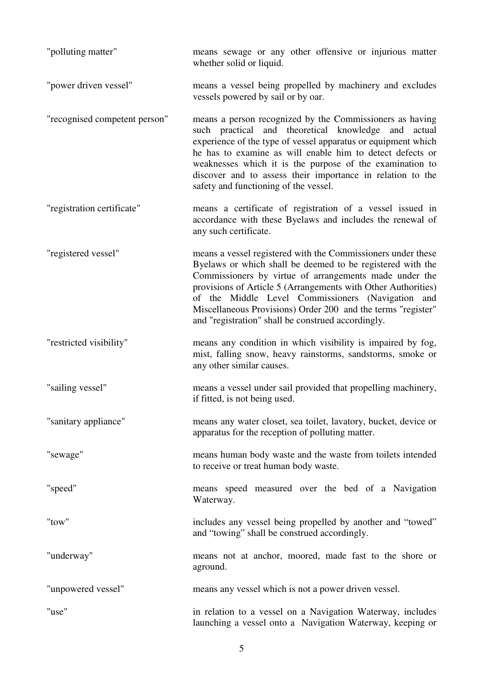| "polluting matter"            | means sewage or any other offensive or injurious matter<br>whether solid or liquid.                                                                                                                                                                                                                                                                                                                                              |
|-------------------------------|----------------------------------------------------------------------------------------------------------------------------------------------------------------------------------------------------------------------------------------------------------------------------------------------------------------------------------------------------------------------------------------------------------------------------------|
| "power driven vessel"         | means a vessel being propelled by machinery and excludes<br>vessels powered by sail or by oar.                                                                                                                                                                                                                                                                                                                                   |
| "recognised competent person" | means a person recognized by the Commissioners as having<br>such practical and theoretical knowledge<br>and<br>actual<br>experience of the type of vessel apparatus or equipment which<br>he has to examine as will enable him to detect defects or<br>weaknesses which it is the purpose of the examination to<br>discover and to assess their importance in relation to the<br>safety and functioning of the vessel.           |
| "registration certificate"    | means a certificate of registration of a vessel issued in<br>accordance with these Byelaws and includes the renewal of<br>any such certificate.                                                                                                                                                                                                                                                                                  |
| "registered vessel"           | means a vessel registered with the Commissioners under these<br>Byelaws or which shall be deemed to be registered with the<br>Commissioners by virtue of arrangements made under the<br>provisions of Article 5 (Arrangements with Other Authorities)<br>of the Middle Level Commissioners (Navigation and<br>Miscellaneous Provisions) Order 200 and the terms "register"<br>and "registration" shall be construed accordingly. |
| "restricted visibility"       | means any condition in which visibility is impaired by fog,<br>mist, falling snow, heavy rainstorms, sandstorms, smoke or<br>any other similar causes.                                                                                                                                                                                                                                                                           |
| "sailing vessel"              | means a vessel under sail provided that propelling machinery,<br>if fitted, is not being used.                                                                                                                                                                                                                                                                                                                                   |
| "sanitary appliance"          | means any water closet, sea toilet, lavatory, bucket, device or<br>apparatus for the reception of polluting matter.                                                                                                                                                                                                                                                                                                              |
| "sewage"                      | means human body waste and the waste from toilets intended<br>to receive or treat human body waste.                                                                                                                                                                                                                                                                                                                              |
| "speed"                       | means speed measured over the bed of a Navigation<br>Waterway.                                                                                                                                                                                                                                                                                                                                                                   |
| "tow"                         | includes any vessel being propelled by another and "towed"<br>and "towing" shall be construed accordingly.                                                                                                                                                                                                                                                                                                                       |
| "underway"                    | means not at anchor, moored, made fast to the shore or<br>aground.                                                                                                                                                                                                                                                                                                                                                               |
| "unpowered vessel"            | means any vessel which is not a power driven vessel.                                                                                                                                                                                                                                                                                                                                                                             |
| "use"                         | in relation to a vessel on a Navigation Waterway, includes<br>launching a vessel onto a Navigation Waterway, keeping or                                                                                                                                                                                                                                                                                                          |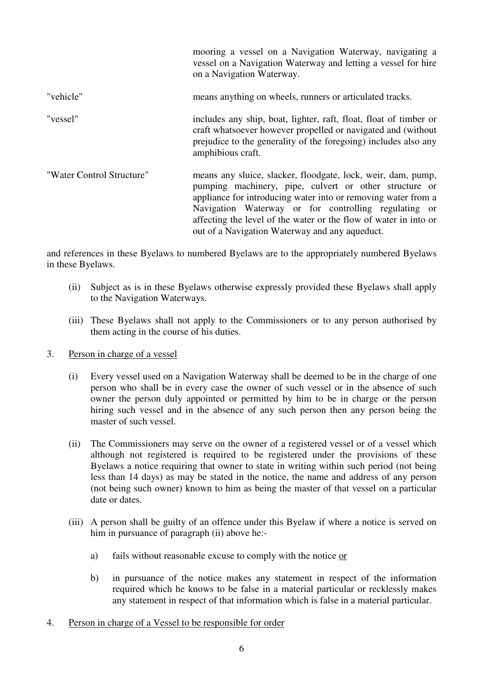|                           | mooring a vessel on a Navigation Waterway, navigating a<br>vessel on a Navigation Waterway and letting a vessel for hire<br>on a Navigation Waterway.                                                                                                                                                                                                                 |
|---------------------------|-----------------------------------------------------------------------------------------------------------------------------------------------------------------------------------------------------------------------------------------------------------------------------------------------------------------------------------------------------------------------|
| "vehicle"                 | means anything on wheels, runners or articulated tracks.                                                                                                                                                                                                                                                                                                              |
| "vessel"                  | includes any ship, boat, lighter, raft, float, float of timber or<br>craft whatsoever however propelled or navigated and (without<br>prejudice to the generality of the foregoing) includes also any<br>amphibious craft.                                                                                                                                             |
| "Water Control Structure" | means any sluice, slacker, floodgate, lock, weir, dam, pump,<br>pumping machinery, pipe, culvert or other structure or<br>appliance for introducing water into or removing water from a<br>Navigation Waterway or for controlling regulating or<br>affecting the level of the water or the flow of water in into or<br>out of a Navigation Waterway and any aqueduct. |

and references in these Byelaws to numbered Byelaws are to the appropriately numbered Byelaws in these Byelaws.

- (ii) Subject as is in these Byelaws otherwise expressly provided these Byelaws shall apply to the Navigation Waterways.
- (iii) These Byelaws shall not apply to the Commissioners or to any person authorised by them acting in the course of his duties.
- 3. Person in charge of a vessel
	- (i) Every vessel used on a Navigation Waterway shall be deemed to be in the charge of one person who shall be in every case the owner of such vessel or in the absence of such owner the person duly appointed or permitted by him to be in charge or the person hiring such vessel and in the absence of any such person then any person being the master of such vessel.
	- (ii) The Commissioners may serve on the owner of a registered vessel or of a vessel which although not registered is required to be registered under the provisions of these Byelaws a notice requiring that owner to state in writing within such period (not being less than 14 days) as may be stated in the notice, the name and address of any person (not being such owner) known to him as being the master of that vessel on a particular date or dates.
	- (iii) A person shall be guilty of an offence under this Byelaw if where a notice is served on him in pursuance of paragraph (ii) above he:
		- a) fails without reasonable excuse to comply with the notice or
		- b) in pursuance of the notice makes any statement in respect of the information required which he knows to be false in a material particular or recklessly makes any statement in respect of that information which is false in a material particular.
- 4. Person in charge of a Vessel to be responsible for order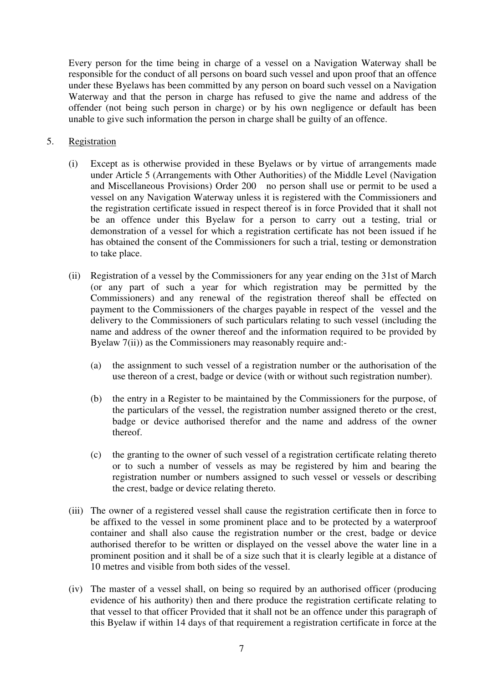Every person for the time being in charge of a vessel on a Navigation Waterway shall be responsible for the conduct of all persons on board such vessel and upon proof that an offence under these Byelaws has been committed by any person on board such vessel on a Navigation Waterway and that the person in charge has refused to give the name and address of the offender (not being such person in charge) or by his own negligence or default has been unable to give such information the person in charge shall be guilty of an offence.

# 5. Registration

- (i) Except as is otherwise provided in these Byelaws or by virtue of arrangements made under Article 5 (Arrangements with Other Authorities) of the Middle Level (Navigation and Miscellaneous Provisions) Order 200 no person shall use or permit to be used a vessel on any Navigation Waterway unless it is registered with the Commissioners and the registration certificate issued in respect thereof is in force Provided that it shall not be an offence under this Byelaw for a person to carry out a testing, trial or demonstration of a vessel for which a registration certificate has not been issued if he has obtained the consent of the Commissioners for such a trial, testing or demonstration to take place.
- (ii) Registration of a vessel by the Commissioners for any year ending on the 31st of March (or any part of such a year for which registration may be permitted by the Commissioners) and any renewal of the registration thereof shall be effected on payment to the Commissioners of the charges payable in respect of the vessel and the delivery to the Commissioners of such particulars relating to such vessel (including the name and address of the owner thereof and the information required to be provided by Byelaw 7(ii)) as the Commissioners may reasonably require and:-
	- (a) the assignment to such vessel of a registration number or the authorisation of the use thereon of a crest, badge or device (with or without such registration number).
	- (b) the entry in a Register to be maintained by the Commissioners for the purpose, of the particulars of the vessel, the registration number assigned thereto or the crest, badge or device authorised therefor and the name and address of the owner thereof.
	- (c) the granting to the owner of such vessel of a registration certificate relating thereto or to such a number of vessels as may be registered by him and bearing the registration number or numbers assigned to such vessel or vessels or describing the crest, badge or device relating thereto.
- (iii) The owner of a registered vessel shall cause the registration certificate then in force to be affixed to the vessel in some prominent place and to be protected by a waterproof container and shall also cause the registration number or the crest, badge or device authorised therefor to be written or displayed on the vessel above the water line in a prominent position and it shall be of a size such that it is clearly legible at a distance of 10 metres and visible from both sides of the vessel.
- (iv) The master of a vessel shall, on being so required by an authorised officer (producing evidence of his authority) then and there produce the registration certificate relating to that vessel to that officer Provided that it shall not be an offence under this paragraph of this Byelaw if within 14 days of that requirement a registration certificate in force at the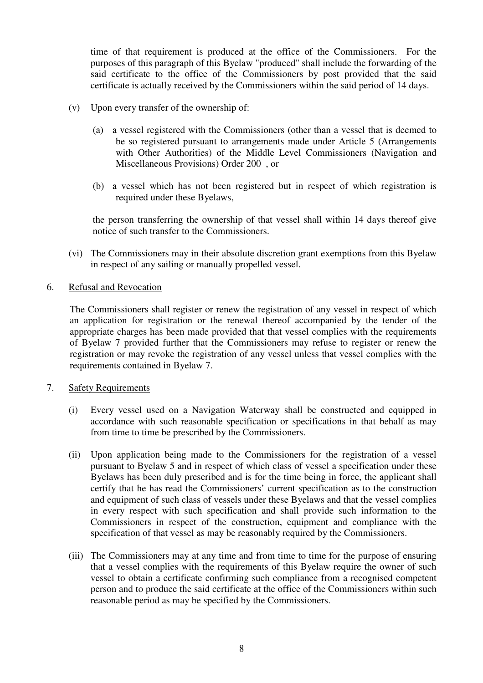time of that requirement is produced at the office of the Commissioners. For the purposes of this paragraph of this Byelaw "produced" shall include the forwarding of the said certificate to the office of the Commissioners by post provided that the said certificate is actually received by the Commissioners within the said period of 14 days.

- (v) Upon every transfer of the ownership of:
	- (a) a vessel registered with the Commissioners (other than a vessel that is deemed to be so registered pursuant to arrangements made under Article 5 (Arrangements with Other Authorities) of the Middle Level Commissioners (Navigation and Miscellaneous Provisions) Order 200 , or
	- (b) a vessel which has not been registered but in respect of which registration is required under these Byelaws,

 the person transferring the ownership of that vessel shall within 14 days thereof give notice of such transfer to the Commissioners.

 (vi) The Commissioners may in their absolute discretion grant exemptions from this Byelaw in respect of any sailing or manually propelled vessel.

## 6. Refusal and Revocation

 The Commissioners shall register or renew the registration of any vessel in respect of which an application for registration or the renewal thereof accompanied by the tender of the appropriate charges has been made provided that that vessel complies with the requirements of Byelaw 7 provided further that the Commissioners may refuse to register or renew the registration or may revoke the registration of any vessel unless that vessel complies with the requirements contained in Byelaw 7.

## 7. Safety Requirements

- (i) Every vessel used on a Navigation Waterway shall be constructed and equipped in accordance with such reasonable specification or specifications in that behalf as may from time to time be prescribed by the Commissioners.
- (ii) Upon application being made to the Commissioners for the registration of a vessel pursuant to Byelaw 5 and in respect of which class of vessel a specification under these Byelaws has been duly prescribed and is for the time being in force, the applicant shall certify that he has read the Commissioners' current specification as to the construction and equipment of such class of vessels under these Byelaws and that the vessel complies in every respect with such specification and shall provide such information to the Commissioners in respect of the construction, equipment and compliance with the specification of that vessel as may be reasonably required by the Commissioners.
- (iii) The Commissioners may at any time and from time to time for the purpose of ensuring that a vessel complies with the requirements of this Byelaw require the owner of such vessel to obtain a certificate confirming such compliance from a recognised competent person and to produce the said certificate at the office of the Commissioners within such reasonable period as may be specified by the Commissioners.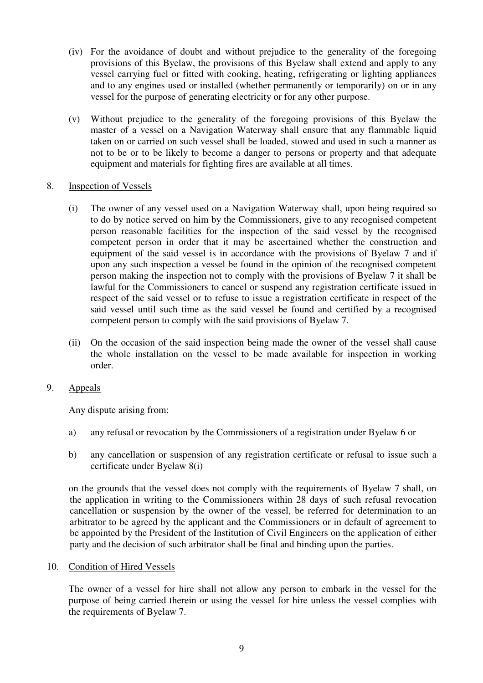- (iv) For the avoidance of doubt and without prejudice to the generality of the foregoing provisions of this Byelaw, the provisions of this Byelaw shall extend and apply to any vessel carrying fuel or fitted with cooking, heating, refrigerating or lighting appliances and to any engines used or installed (whether permanently or temporarily) on or in any vessel for the purpose of generating electricity or for any other purpose.
- (v) Without prejudice to the generality of the foregoing provisions of this Byelaw the master of a vessel on a Navigation Waterway shall ensure that any flammable liquid taken on or carried on such vessel shall be loaded, stowed and used in such a manner as not to be or to be likely to become a danger to persons or property and that adequate equipment and materials for fighting fires are available at all times.

# 8. Inspection of Vessels

- (i) The owner of any vessel used on a Navigation Waterway shall, upon being required so to do by notice served on him by the Commissioners, give to any recognised competent person reasonable facilities for the inspection of the said vessel by the recognised competent person in order that it may be ascertained whether the construction and equipment of the said vessel is in accordance with the provisions of Byelaw 7 and if upon any such inspection a vessel be found in the opinion of the recognised competent person making the inspection not to comply with the provisions of Byelaw 7 it shall be lawful for the Commissioners to cancel or suspend any registration certificate issued in respect of the said vessel or to refuse to issue a registration certificate in respect of the said vessel until such time as the said vessel be found and certified by a recognised competent person to comply with the said provisions of Byelaw 7.
- (ii) On the occasion of the said inspection being made the owner of the vessel shall cause the whole installation on the vessel to be made available for inspection in working order.

# 9. Appeals

Any dispute arising from:

- a) any refusal or revocation by the Commissioners of a registration under Byelaw 6 or
- b) any cancellation or suspension of any registration certificate or refusal to issue such a certificate under Byelaw 8(i)

 on the grounds that the vessel does not comply with the requirements of Byelaw 7 shall, on the application in writing to the Commissioners within 28 days of such refusal revocation cancellation or suspension by the owner of the vessel, be referred for determination to an arbitrator to be agreed by the applicant and the Commissioners or in default of agreement to be appointed by the President of the Institution of Civil Engineers on the application of either party and the decision of such arbitrator shall be final and binding upon the parties.

## 10. Condition of Hired Vessels

The owner of a vessel for hire shall not allow any person to embark in the vessel for the purpose of being carried therein or using the vessel for hire unless the vessel complies with the requirements of Byelaw 7.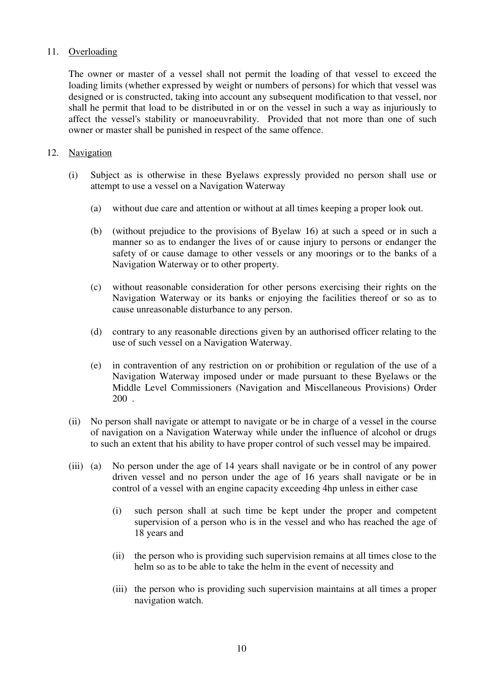# 11. Overloading

The owner or master of a vessel shall not permit the loading of that vessel to exceed the loading limits (whether expressed by weight or numbers of persons) for which that vessel was designed or is constructed, taking into account any subsequent modification to that vessel, nor shall he permit that load to be distributed in or on the vessel in such a way as injuriously to affect the vessel's stability or manoeuvrability. Provided that not more than one of such owner or master shall be punished in respect of the same offence.

## 12. Navigation

- (i) Subject as is otherwise in these Byelaws expressly provided no person shall use or attempt to use a vessel on a Navigation Waterway
	- (a) without due care and attention or without at all times keeping a proper look out.
	- (b) (without prejudice to the provisions of Byelaw 16) at such a speed or in such a manner so as to endanger the lives of or cause injury to persons or endanger the safety of or cause damage to other vessels or any moorings or to the banks of a Navigation Waterway or to other property.
	- (c) without reasonable consideration for other persons exercising their rights on the Navigation Waterway or its banks or enjoying the facilities thereof or so as to cause unreasonable disturbance to any person.
	- (d) contrary to any reasonable directions given by an authorised officer relating to the use of such vessel on a Navigation Waterway.
	- (e) in contravention of any restriction on or prohibition or regulation of the use of a Navigation Waterway imposed under or made pursuant to these Byelaws or the Middle Level Commissioners (Navigation and Miscellaneous Provisions) Order 200 .
- (ii) No person shall navigate or attempt to navigate or be in charge of a vessel in the course of navigation on a Navigation Waterway while under the influence of alcohol or drugs to such an extent that his ability to have proper control of such vessel may be impaired.
- (iii) (a) No person under the age of 14 years shall navigate or be in control of any power driven vessel and no person under the age of 16 years shall navigate or be in control of a vessel with an engine capacity exceeding 4hp unless in either case
	- (i) such person shall at such time be kept under the proper and competent supervision of a person who is in the vessel and who has reached the age of 18 years and
	- (ii) the person who is providing such supervision remains at all times close to the helm so as to be able to take the helm in the event of necessity and
	- (iii) the person who is providing such supervision maintains at all times a proper navigation watch.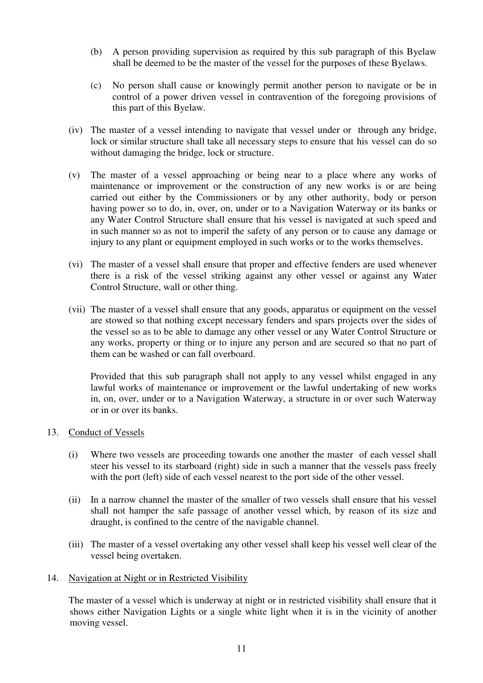- (b) A person providing supervision as required by this sub paragraph of this Byelaw shall be deemed to be the master of the vessel for the purposes of these Byelaws.
- (c) No person shall cause or knowingly permit another person to navigate or be in control of a power driven vessel in contravention of the foregoing provisions of this part of this Byelaw.
- (iv) The master of a vessel intending to navigate that vessel under or through any bridge, lock or similar structure shall take all necessary steps to ensure that his vessel can do so without damaging the bridge, lock or structure.
- (v) The master of a vessel approaching or being near to a place where any works of maintenance or improvement or the construction of any new works is or are being carried out either by the Commissioners or by any other authority, body or person having power so to do, in, over, on, under or to a Navigation Waterway or its banks or any Water Control Structure shall ensure that his vessel is navigated at such speed and in such manner so as not to imperil the safety of any person or to cause any damage or injury to any plant or equipment employed in such works or to the works themselves.
- (vi) The master of a vessel shall ensure that proper and effective fenders are used whenever there is a risk of the vessel striking against any other vessel or against any Water Control Structure, wall or other thing.
- (vii) The master of a vessel shall ensure that any goods, apparatus or equipment on the vessel are stowed so that nothing except necessary fenders and spars projects over the sides of the vessel so as to be able to damage any other vessel or any Water Control Structure or any works, property or thing or to injure any person and are secured so that no part of them can be washed or can fall overboard.

 Provided that this sub paragraph shall not apply to any vessel whilst engaged in any lawful works of maintenance or improvement or the lawful undertaking of new works in, on, over, under or to a Navigation Waterway, a structure in or over such Waterway or in or over its banks.

## 13. Conduct of Vessels

- (i) Where two vessels are proceeding towards one another the master of each vessel shall steer his vessel to its starboard (right) side in such a manner that the vessels pass freely with the port (left) side of each vessel nearest to the port side of the other vessel.
- (ii) In a narrow channel the master of the smaller of two vessels shall ensure that his vessel shall not hamper the safe passage of another vessel which, by reason of its size and draught, is confined to the centre of the navigable channel.
- (iii) The master of a vessel overtaking any other vessel shall keep his vessel well clear of the vessel being overtaken.

## 14. Navigation at Night or in Restricted Visibility

 The master of a vessel which is underway at night or in restricted visibility shall ensure that it shows either Navigation Lights or a single white light when it is in the vicinity of another moving vessel.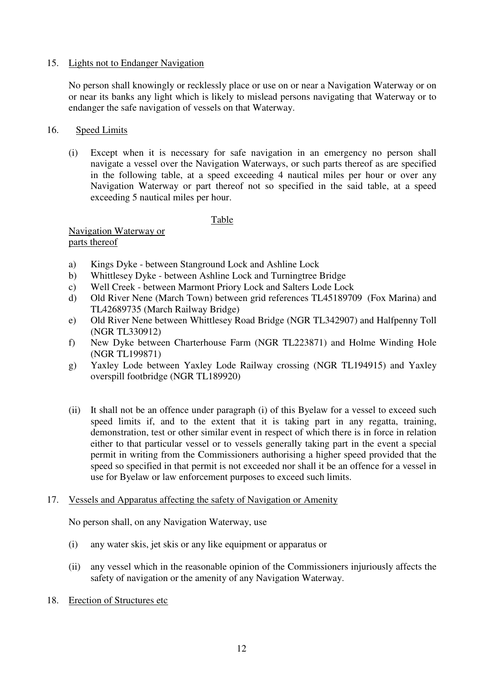# 15. Lights not to Endanger Navigation

No person shall knowingly or recklessly place or use on or near a Navigation Waterway or on or near its banks any light which is likely to mislead persons navigating that Waterway or to endanger the safe navigation of vessels on that Waterway.

# 16. Speed Limits

 (i) Except when it is necessary for safe navigation in an emergency no person shall navigate a vessel over the Navigation Waterways, or such parts thereof as are specified in the following table, at a speed exceeding 4 nautical miles per hour or over any Navigation Waterway or part thereof not so specified in the said table, at a speed exceeding 5 nautical miles per hour.

## Table

 Navigation Waterway or parts thereof

- a) Kings Dyke between Stanground Lock and Ashline Lock
- b) Whittlesey Dyke between Ashline Lock and Turningtree Bridge
- c) Well Creek between Marmont Priory Lock and Salters Lode Lock
- d) Old River Nene (March Town) between grid references TL45189709 (Fox Marina) and TL42689735 (March Railway Bridge)
- e) Old River Nene between Whittlesey Road Bridge (NGR TL342907) and Halfpenny Toll (NGR TL330912)
- f) New Dyke between Charterhouse Farm (NGR TL223871) and Holme Winding Hole (NGR TL199871)
- g) Yaxley Lode between Yaxley Lode Railway crossing (NGR TL194915) and Yaxley overspill footbridge (NGR TL189920)
- (ii) It shall not be an offence under paragraph (i) of this Byelaw for a vessel to exceed such speed limits if, and to the extent that it is taking part in any regatta, training, demonstration, test or other similar event in respect of which there is in force in relation either to that particular vessel or to vessels generally taking part in the event a special permit in writing from the Commissioners authorising a higher speed provided that the speed so specified in that permit is not exceeded nor shall it be an offence for a vessel in use for Byelaw or law enforcement purposes to exceed such limits.

# 17. Vessels and Apparatus affecting the safety of Navigation or Amenity

No person shall, on any Navigation Waterway, use

- (i) any water skis, jet skis or any like equipment or apparatus or
- (ii) any vessel which in the reasonable opinion of the Commissioners injuriously affects the safety of navigation or the amenity of any Navigation Waterway.
- 18. Erection of Structures etc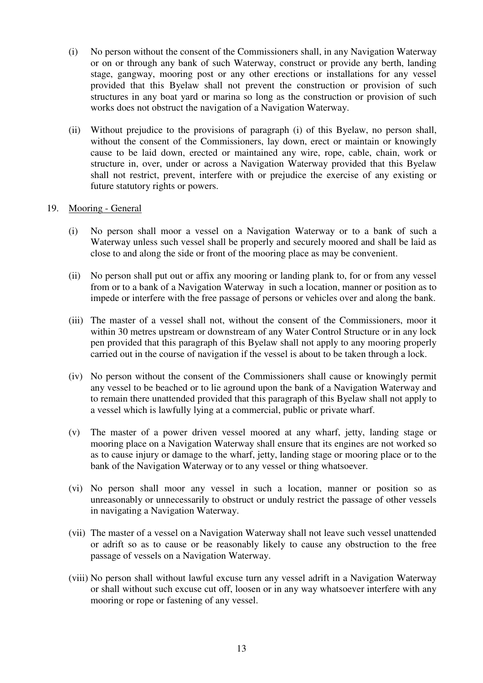- (i) No person without the consent of the Commissioners shall, in any Navigation Waterway or on or through any bank of such Waterway, construct or provide any berth, landing stage, gangway, mooring post or any other erections or installations for any vessel provided that this Byelaw shall not prevent the construction or provision of such structures in any boat yard or marina so long as the construction or provision of such works does not obstruct the navigation of a Navigation Waterway.
- (ii) Without prejudice to the provisions of paragraph (i) of this Byelaw, no person shall, without the consent of the Commissioners, lay down, erect or maintain or knowingly cause to be laid down, erected or maintained any wire, rope, cable, chain, work or structure in, over, under or across a Navigation Waterway provided that this Byelaw shall not restrict, prevent, interfere with or prejudice the exercise of any existing or future statutory rights or powers.

# 19. Mooring - General

- (i) No person shall moor a vessel on a Navigation Waterway or to a bank of such a Waterway unless such vessel shall be properly and securely moored and shall be laid as close to and along the side or front of the mooring place as may be convenient.
- (ii) No person shall put out or affix any mooring or landing plank to, for or from any vessel from or to a bank of a Navigation Waterway in such a location, manner or position as to impede or interfere with the free passage of persons or vehicles over and along the bank.
- (iii) The master of a vessel shall not, without the consent of the Commissioners, moor it within 30 metres upstream or downstream of any Water Control Structure or in any lock pen provided that this paragraph of this Byelaw shall not apply to any mooring properly carried out in the course of navigation if the vessel is about to be taken through a lock.
- (iv) No person without the consent of the Commissioners shall cause or knowingly permit any vessel to be beached or to lie aground upon the bank of a Navigation Waterway and to remain there unattended provided that this paragraph of this Byelaw shall not apply to a vessel which is lawfully lying at a commercial, public or private wharf.
- (v) The master of a power driven vessel moored at any wharf, jetty, landing stage or mooring place on a Navigation Waterway shall ensure that its engines are not worked so as to cause injury or damage to the wharf, jetty, landing stage or mooring place or to the bank of the Navigation Waterway or to any vessel or thing whatsoever.
- (vi) No person shall moor any vessel in such a location, manner or position so as unreasonably or unnecessarily to obstruct or unduly restrict the passage of other vessels in navigating a Navigation Waterway.
- (vii) The master of a vessel on a Navigation Waterway shall not leave such vessel unattended or adrift so as to cause or be reasonably likely to cause any obstruction to the free passage of vessels on a Navigation Waterway.
- (viii) No person shall without lawful excuse turn any vessel adrift in a Navigation Waterway or shall without such excuse cut off, loosen or in any way whatsoever interfere with any mooring or rope or fastening of any vessel.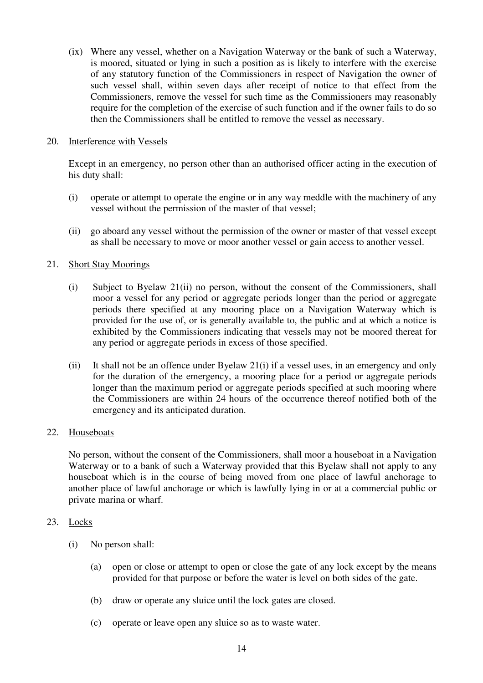(ix) Where any vessel, whether on a Navigation Waterway or the bank of such a Waterway, is moored, situated or lying in such a position as is likely to interfere with the exercise of any statutory function of the Commissioners in respect of Navigation the owner of such vessel shall, within seven days after receipt of notice to that effect from the Commissioners, remove the vessel for such time as the Commissioners may reasonably require for the completion of the exercise of such function and if the owner fails to do so then the Commissioners shall be entitled to remove the vessel as necessary.

## 20. Interference with Vessels

Except in an emergency, no person other than an authorised officer acting in the execution of his duty shall:

- (i) operate or attempt to operate the engine or in any way meddle with the machinery of any vessel without the permission of the master of that vessel;
- (ii) go aboard any vessel without the permission of the owner or master of that vessel except as shall be necessary to move or moor another vessel or gain access to another vessel.

# 21. Short Stay Moorings

- (i) Subject to Byelaw 21(ii) no person, without the consent of the Commissioners, shall moor a vessel for any period or aggregate periods longer than the period or aggregate periods there specified at any mooring place on a Navigation Waterway which is provided for the use of, or is generally available to, the public and at which a notice is exhibited by the Commissioners indicating that vessels may not be moored thereat for any period or aggregate periods in excess of those specified.
- (ii) It shall not be an offence under Byelaw 21(i) if a vessel uses, in an emergency and only for the duration of the emergency, a mooring place for a period or aggregate periods longer than the maximum period or aggregate periods specified at such mooring where the Commissioners are within 24 hours of the occurrence thereof notified both of the emergency and its anticipated duration.

# 22. Houseboats

 No person, without the consent of the Commissioners, shall moor a houseboat in a Navigation Waterway or to a bank of such a Waterway provided that this Byelaw shall not apply to any houseboat which is in the course of being moved from one place of lawful anchorage to another place of lawful anchorage or which is lawfully lying in or at a commercial public or private marina or wharf.

## 23. Locks

- (i) No person shall:
	- (a) open or close or attempt to open or close the gate of any lock except by the means provided for that purpose or before the water is level on both sides of the gate.
	- (b) draw or operate any sluice until the lock gates are closed.
	- (c) operate or leave open any sluice so as to waste water.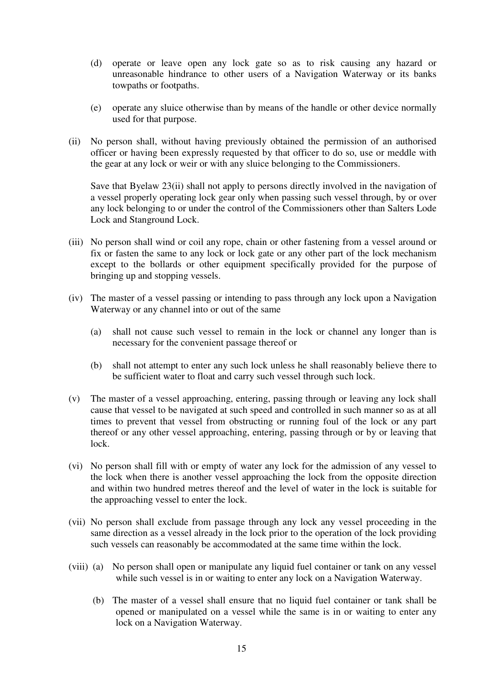- (d) operate or leave open any lock gate so as to risk causing any hazard or unreasonable hindrance to other users of a Navigation Waterway or its banks towpaths or footpaths.
- (e) operate any sluice otherwise than by means of the handle or other device normally used for that purpose.
- (ii) No person shall, without having previously obtained the permission of an authorised officer or having been expressly requested by that officer to do so, use or meddle with the gear at any lock or weir or with any sluice belonging to the Commissioners.

 Save that Byelaw 23(ii) shall not apply to persons directly involved in the navigation of a vessel properly operating lock gear only when passing such vessel through, by or over any lock belonging to or under the control of the Commissioners other than Salters Lode Lock and Stanground Lock.

- (iii) No person shall wind or coil any rope, chain or other fastening from a vessel around or fix or fasten the same to any lock or lock gate or any other part of the lock mechanism except to the bollards or other equipment specifically provided for the purpose of bringing up and stopping vessels.
- (iv) The master of a vessel passing or intending to pass through any lock upon a Navigation Waterway or any channel into or out of the same
	- (a) shall not cause such vessel to remain in the lock or channel any longer than is necessary for the convenient passage thereof or
	- (b) shall not attempt to enter any such lock unless he shall reasonably believe there to be sufficient water to float and carry such vessel through such lock.
- (v) The master of a vessel approaching, entering, passing through or leaving any lock shall cause that vessel to be navigated at such speed and controlled in such manner so as at all times to prevent that vessel from obstructing or running foul of the lock or any part thereof or any other vessel approaching, entering, passing through or by or leaving that lock.
- (vi) No person shall fill with or empty of water any lock for the admission of any vessel to the lock when there is another vessel approaching the lock from the opposite direction and within two hundred metres thereof and the level of water in the lock is suitable for the approaching vessel to enter the lock.
- (vii) No person shall exclude from passage through any lock any vessel proceeding in the same direction as a vessel already in the lock prior to the operation of the lock providing such vessels can reasonably be accommodated at the same time within the lock.
- (viii) (a) No person shall open or manipulate any liquid fuel container or tank on any vessel while such vessel is in or waiting to enter any lock on a Navigation Waterway.
	- (b) The master of a vessel shall ensure that no liquid fuel container or tank shall be opened or manipulated on a vessel while the same is in or waiting to enter any lock on a Navigation Waterway.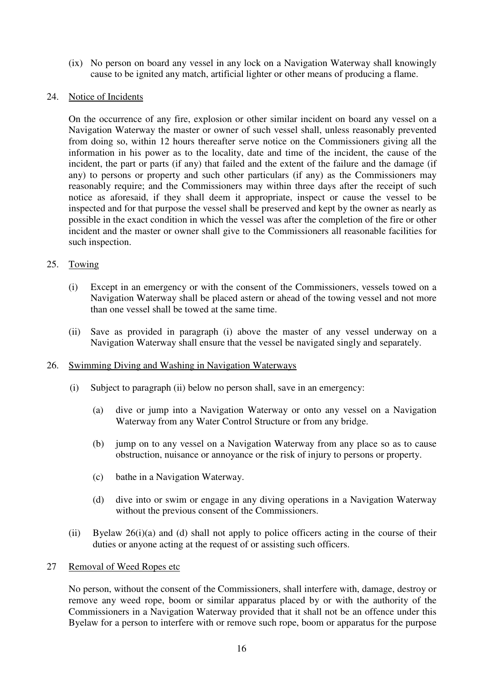(ix) No person on board any vessel in any lock on a Navigation Waterway shall knowingly cause to be ignited any match, artificial lighter or other means of producing a flame.

## 24. Notice of Incidents

 On the occurrence of any fire, explosion or other similar incident on board any vessel on a Navigation Waterway the master or owner of such vessel shall, unless reasonably prevented from doing so, within 12 hours thereafter serve notice on the Commissioners giving all the information in his power as to the locality, date and time of the incident, the cause of the incident, the part or parts (if any) that failed and the extent of the failure and the damage (if any) to persons or property and such other particulars (if any) as the Commissioners may reasonably require; and the Commissioners may within three days after the receipt of such notice as aforesaid, if they shall deem it appropriate, inspect or cause the vessel to be inspected and for that purpose the vessel shall be preserved and kept by the owner as nearly as possible in the exact condition in which the vessel was after the completion of the fire or other incident and the master or owner shall give to the Commissioners all reasonable facilities for such inspection.

# 25. Towing

- (i) Except in an emergency or with the consent of the Commissioners, vessels towed on a Navigation Waterway shall be placed astern or ahead of the towing vessel and not more than one vessel shall be towed at the same time.
- (ii) Save as provided in paragraph (i) above the master of any vessel underway on a Navigation Waterway shall ensure that the vessel be navigated singly and separately.

## 26. Swimming Diving and Washing in Navigation Waterways

- (i) Subject to paragraph (ii) below no person shall, save in an emergency:
	- (a) dive or jump into a Navigation Waterway or onto any vessel on a Navigation Waterway from any Water Control Structure or from any bridge.
	- (b) jump on to any vessel on a Navigation Waterway from any place so as to cause obstruction, nuisance or annoyance or the risk of injury to persons or property.
	- (c) bathe in a Navigation Waterway.
	- (d) dive into or swim or engage in any diving operations in a Navigation Waterway without the previous consent of the Commissioners.
- (ii) Byelaw 26(i)(a) and (d) shall not apply to police officers acting in the course of their duties or anyone acting at the request of or assisting such officers.

## 27 Removal of Weed Ropes etc

 No person, without the consent of the Commissioners, shall interfere with, damage, destroy or remove any weed rope, boom or similar apparatus placed by or with the authority of the Commissioners in a Navigation Waterway provided that it shall not be an offence under this Byelaw for a person to interfere with or remove such rope, boom or apparatus for the purpose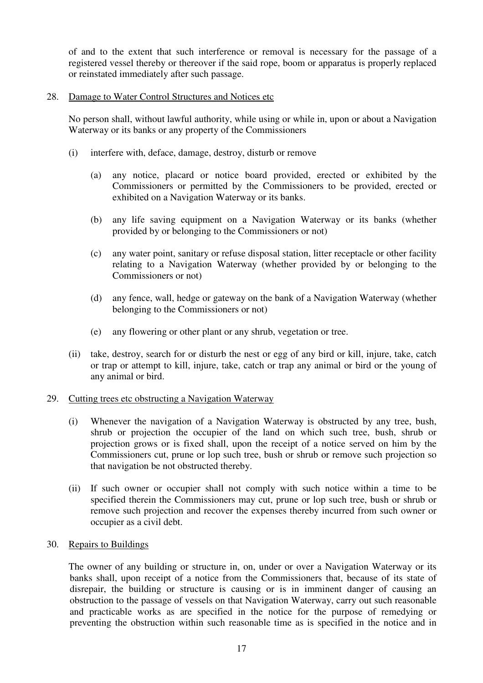of and to the extent that such interference or removal is necessary for the passage of a registered vessel thereby or thereover if the said rope, boom or apparatus is properly replaced or reinstated immediately after such passage.

## 28. Damage to Water Control Structures and Notices etc

 No person shall, without lawful authority, while using or while in, upon or about a Navigation Waterway or its banks or any property of the Commissioners

- (i) interfere with, deface, damage, destroy, disturb or remove
	- (a) any notice, placard or notice board provided, erected or exhibited by the Commissioners or permitted by the Commissioners to be provided, erected or exhibited on a Navigation Waterway or its banks.
	- (b) any life saving equipment on a Navigation Waterway or its banks (whether provided by or belonging to the Commissioners or not)
	- (c) any water point, sanitary or refuse disposal station, litter receptacle or other facility relating to a Navigation Waterway (whether provided by or belonging to the Commissioners or not)
	- (d) any fence, wall, hedge or gateway on the bank of a Navigation Waterway (whether belonging to the Commissioners or not)
	- (e) any flowering or other plant or any shrub, vegetation or tree.
- (ii) take, destroy, search for or disturb the nest or egg of any bird or kill, injure, take, catch or trap or attempt to kill, injure, take, catch or trap any animal or bird or the young of any animal or bird.

## 29. Cutting trees etc obstructing a Navigation Waterway

- (i) Whenever the navigation of a Navigation Waterway is obstructed by any tree, bush, shrub or projection the occupier of the land on which such tree, bush, shrub or projection grows or is fixed shall, upon the receipt of a notice served on him by the Commissioners cut, prune or lop such tree, bush or shrub or remove such projection so that navigation be not obstructed thereby.
- (ii) If such owner or occupier shall not comply with such notice within a time to be specified therein the Commissioners may cut, prune or lop such tree, bush or shrub or remove such projection and recover the expenses thereby incurred from such owner or occupier as a civil debt.
- 30. Repairs to Buildings

 The owner of any building or structure in, on, under or over a Navigation Waterway or its banks shall, upon receipt of a notice from the Commissioners that, because of its state of disrepair, the building or structure is causing or is in imminent danger of causing an obstruction to the passage of vessels on that Navigation Waterway, carry out such reasonable and practicable works as are specified in the notice for the purpose of remedying or preventing the obstruction within such reasonable time as is specified in the notice and in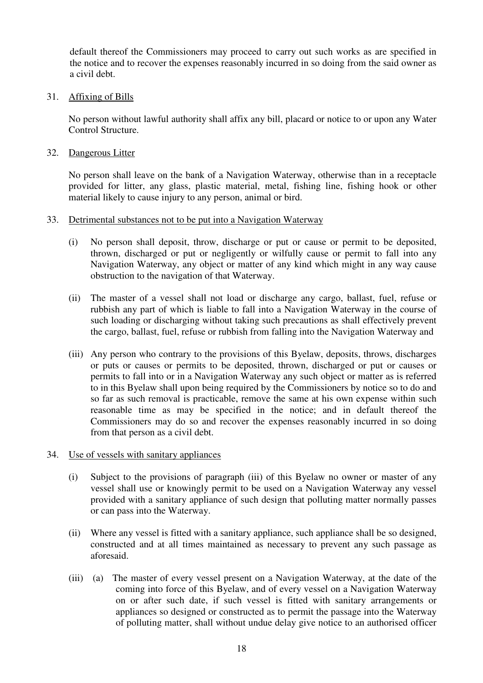default thereof the Commissioners may proceed to carry out such works as are specified in the notice and to recover the expenses reasonably incurred in so doing from the said owner as a civil debt.

## 31. Affixing of Bills

 No person without lawful authority shall affix any bill, placard or notice to or upon any Water Control Structure.

32. Dangerous Litter

 No person shall leave on the bank of a Navigation Waterway, otherwise than in a receptacle provided for litter, any glass, plastic material, metal, fishing line, fishing hook or other material likely to cause injury to any person, animal or bird.

# 33. Detrimental substances not to be put into a Navigation Waterway

- (i) No person shall deposit, throw, discharge or put or cause or permit to be deposited, thrown, discharged or put or negligently or wilfully cause or permit to fall into any Navigation Waterway, any object or matter of any kind which might in any way cause obstruction to the navigation of that Waterway.
- (ii) The master of a vessel shall not load or discharge any cargo, ballast, fuel, refuse or rubbish any part of which is liable to fall into a Navigation Waterway in the course of such loading or discharging without taking such precautions as shall effectively prevent the cargo, ballast, fuel, refuse or rubbish from falling into the Navigation Waterway and
- (iii) Any person who contrary to the provisions of this Byelaw, deposits, throws, discharges or puts or causes or permits to be deposited, thrown, discharged or put or causes or permits to fall into or in a Navigation Waterway any such object or matter as is referred to in this Byelaw shall upon being required by the Commissioners by notice so to do and so far as such removal is practicable, remove the same at his own expense within such reasonable time as may be specified in the notice; and in default thereof the Commissioners may do so and recover the expenses reasonably incurred in so doing from that person as a civil debt.
- 34. Use of vessels with sanitary appliances
	- (i) Subject to the provisions of paragraph (iii) of this Byelaw no owner or master of any vessel shall use or knowingly permit to be used on a Navigation Waterway any vessel provided with a sanitary appliance of such design that polluting matter normally passes or can pass into the Waterway.
	- (ii) Where any vessel is fitted with a sanitary appliance, such appliance shall be so designed, constructed and at all times maintained as necessary to prevent any such passage as aforesaid.
	- (iii) (a) The master of every vessel present on a Navigation Waterway, at the date of the coming into force of this Byelaw, and of every vessel on a Navigation Waterway on or after such date, if such vessel is fitted with sanitary arrangements or appliances so designed or constructed as to permit the passage into the Waterway of polluting matter, shall without undue delay give notice to an authorised officer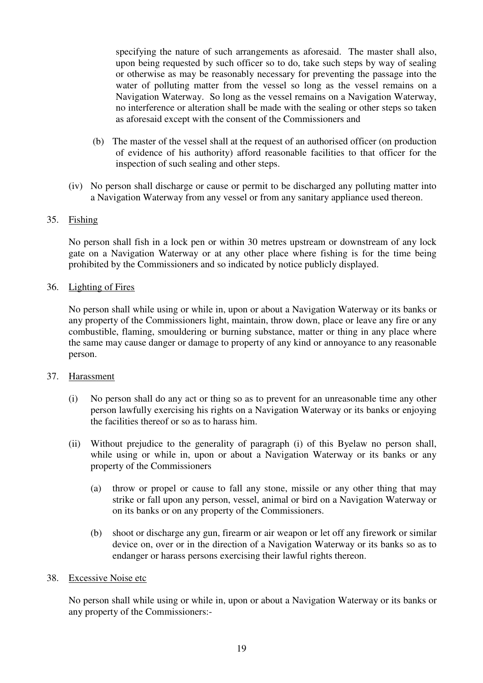specifying the nature of such arrangements as aforesaid. The master shall also, upon being requested by such officer so to do, take such steps by way of sealing or otherwise as may be reasonably necessary for preventing the passage into the water of polluting matter from the vessel so long as the vessel remains on a Navigation Waterway. So long as the vessel remains on a Navigation Waterway, no interference or alteration shall be made with the sealing or other steps so taken as aforesaid except with the consent of the Commissioners and

- (b) The master of the vessel shall at the request of an authorised officer (on production of evidence of his authority) afford reasonable facilities to that officer for the inspection of such sealing and other steps.
- (iv) No person shall discharge or cause or permit to be discharged any polluting matter into a Navigation Waterway from any vessel or from any sanitary appliance used thereon.

# 35. Fishing

 No person shall fish in a lock pen or within 30 metres upstream or downstream of any lock gate on a Navigation Waterway or at any other place where fishing is for the time being prohibited by the Commissioners and so indicated by notice publicly displayed.

## 36. Lighting of Fires

 No person shall while using or while in, upon or about a Navigation Waterway or its banks or any property of the Commissioners light, maintain, throw down, place or leave any fire or any combustible, flaming, smouldering or burning substance, matter or thing in any place where the same may cause danger or damage to property of any kind or annoyance to any reasonable person.

## 37. Harassment

- (i) No person shall do any act or thing so as to prevent for an unreasonable time any other person lawfully exercising his rights on a Navigation Waterway or its banks or enjoying the facilities thereof or so as to harass him.
- (ii) Without prejudice to the generality of paragraph (i) of this Byelaw no person shall, while using or while in, upon or about a Navigation Waterway or its banks or any property of the Commissioners
	- (a) throw or propel or cause to fall any stone, missile or any other thing that may strike or fall upon any person, vessel, animal or bird on a Navigation Waterway or on its banks or on any property of the Commissioners.
	- (b) shoot or discharge any gun, firearm or air weapon or let off any firework or similar device on, over or in the direction of a Navigation Waterway or its banks so as to endanger or harass persons exercising their lawful rights thereon.

## 38. Excessive Noise etc

 No person shall while using or while in, upon or about a Navigation Waterway or its banks or any property of the Commissioners:-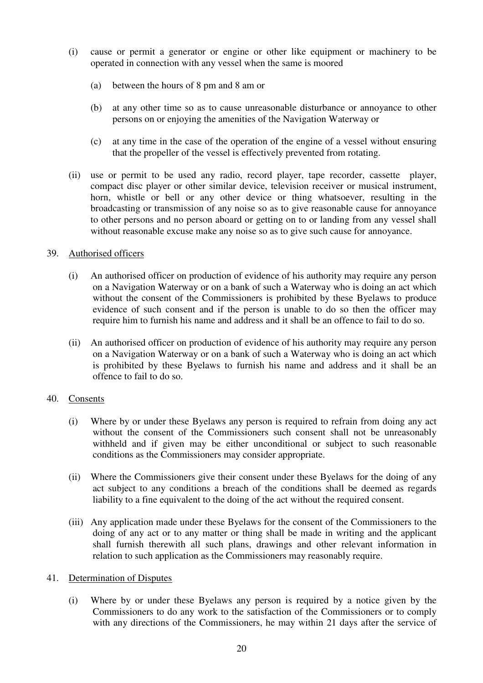- (i) cause or permit a generator or engine or other like equipment or machinery to be operated in connection with any vessel when the same is moored
	- (a) between the hours of 8 pm and 8 am or
	- (b) at any other time so as to cause unreasonable disturbance or annoyance to other persons on or enjoying the amenities of the Navigation Waterway or
	- (c) at any time in the case of the operation of the engine of a vessel without ensuring that the propeller of the vessel is effectively prevented from rotating.
- (ii) use or permit to be used any radio, record player, tape recorder, cassette player, compact disc player or other similar device, television receiver or musical instrument, horn, whistle or bell or any other device or thing whatsoever, resulting in the broadcasting or transmission of any noise so as to give reasonable cause for annoyance to other persons and no person aboard or getting on to or landing from any vessel shall without reasonable excuse make any noise so as to give such cause for annoyance.

# 39. Authorised officers

- (i) An authorised officer on production of evidence of his authority may require any person on a Navigation Waterway or on a bank of such a Waterway who is doing an act which without the consent of the Commissioners is prohibited by these Byelaws to produce evidence of such consent and if the person is unable to do so then the officer may require him to furnish his name and address and it shall be an offence to fail to do so.
- (ii) An authorised officer on production of evidence of his authority may require any person on a Navigation Waterway or on a bank of such a Waterway who is doing an act which is prohibited by these Byelaws to furnish his name and address and it shall be an offence to fail to do so.

## 40. Consents

- (i) Where by or under these Byelaws any person is required to refrain from doing any act without the consent of the Commissioners such consent shall not be unreasonably withheld and if given may be either unconditional or subject to such reasonable conditions as the Commissioners may consider appropriate.
- (ii) Where the Commissioners give their consent under these Byelaws for the doing of any act subject to any conditions a breach of the conditions shall be deemed as regards liability to a fine equivalent to the doing of the act without the required consent.
- (iii) Any application made under these Byelaws for the consent of the Commissioners to the doing of any act or to any matter or thing shall be made in writing and the applicant shall furnish therewith all such plans, drawings and other relevant information in relation to such application as the Commissioners may reasonably require.

## 41. Determination of Disputes

 (i) Where by or under these Byelaws any person is required by a notice given by the Commissioners to do any work to the satisfaction of the Commissioners or to comply with any directions of the Commissioners, he may within 21 days after the service of